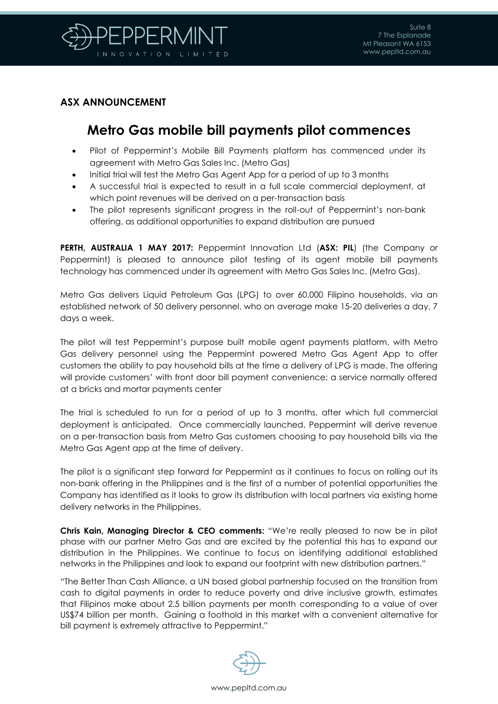

## **ASX ANNOUNCEMENT**

## **Metro Gas mobile bill payments pilot commences**

- Pilot of Peppermint's Mobile Bill Payments platform has commenced under its agreement with Metro Gas Sales Inc. (Metro Gas)
- Initial trial will test the Metro Gas Agent App for a period of up to 3 months
- A successful trial is expected to result in a full scale commercial deployment, at which point revenues will be derived on a per-transaction basis
- The pilot represents significant progress in the roll-out of Peppermint's non-bank offering, as additional opportunities to expand distribution are pursued

**PERTH, AUSTRALIA 1 MAY 2017:** Peppermint Innovation Ltd (**ASX: PIL**) (the Company or Peppermint) is pleased to announce pilot testing of its agent mobile bill payments technology has commenced under its agreement with Metro Gas Sales Inc. (Metro Gas).

Metro Gas delivers Liquid Petroleum Gas (LPG) to over 60,000 Filipino households, via an established network of 50 delivery personnel, who on average make 15-20 deliveries a day, 7 days a week.

The pilot will test Peppermint's purpose built mobile agent payments platform, with Metro Gas delivery personnel using the Peppermint powered Metro Gas Agent App to offer customers the ability to pay household bills at the time a delivery of LPG is made. The offering will provide customers' with front door bill payment convenience; a service normally offered at a bricks and mortar payments center

The trial is scheduled to run for a period of up to 3 months, after which full commercial deployment is anticipated. Once commercially launched, Peppermint will derive revenue on a per-transaction basis from Metro Gas customers choosing to pay household bills via the Metro Gas Agent app at the time of delivery.

The pilot is a significant step forward for Peppermint as it continues to focus on rolling out its non-bank offering in the Philippines and is the first of a number of potential opportunities the Company has identified as it looks to grow its distribution with local partners via existing home delivery networks in the Philippines.

**Chris Kain, Managing Director & CEO comments:** "We're really pleased to now be in pilot phase with our partner Metro Gas and are excited by the potential this has to expand our distribution in the Philippines. We continue to focus on identifying additional established networks in the Philippines and look to expand our footprint with new distribution partners."

"The Better Than Cash Alliance, a UN based global partnership focused on the transition from cash to digital payments in order to reduce poverty and drive inclusive growth, estimates that Filipinos make about 2.5 billion payments per month corresponding to a value of over US\$74 billion per month. Gaining a foothold in this market with a convenient alternative for bill payment is extremely attractive to Peppermint."